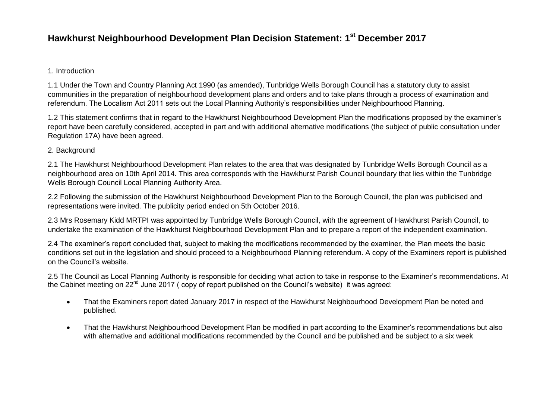## **Hawkhurst Neighbourhood Development Plan Decision Statement: 1st December 2017**

## 1. Introduction

1.1 Under the Town and Country Planning Act 1990 (as amended), Tunbridge Wells Borough Council has a statutory duty to assist communities in the preparation of neighbourhood development plans and orders and to take plans through a process of examination and referendum. The Localism Act 2011 sets out the Local Planning Authority's responsibilities under Neighbourhood Planning.

1.2 This statement confirms that in regard to the Hawkhurst Neighbourhood Development Plan the modifications proposed by the examiner's report have been carefully considered, accepted in part and with additional alternative modifications (the subject of public consultation under Regulation 17A) have been agreed.

## 2. Background

2.1 The Hawkhurst Neighbourhood Development Plan relates to the area that was designated by Tunbridge Wells Borough Council as a neighbourhood area on 10th April 2014. This area corresponds with the Hawkhurst Parish Council boundary that lies within the Tunbridge Wells Borough Council Local Planning Authority Area.

2.2 Following the submission of the Hawkhurst Neighbourhood Development Plan to the Borough Council, the plan was publicised and representations were invited. The publicity period ended on 5th October 2016.

2.3 Mrs Rosemary Kidd MRTPI was appointed by Tunbridge Wells Borough Council, with the agreement of Hawkhurst Parish Council, to undertake the examination of the Hawkhurst Neighbourhood Development Plan and to prepare a report of the independent examination.

2.4 The examiner's report concluded that, subject to making the modifications recommended by the examiner, the Plan meets the basic conditions set out in the legislation and should proceed to a Neighbourhood Planning referendum. A copy of the Examiners report is published on the Council's website.

2.5 The Council as Local Planning Authority is responsible for deciding what action to take in response to the Examiner's recommendations. At the Cabinet meeting on 22<sup>nd</sup> June 2017 (copy of report published on the Council's website) it was agreed:

- That the Examiners report dated January 2017 in respect of the Hawkhurst Neighbourhood Development Plan be noted and published.
- That the Hawkhurst Neighbourhood Development Plan be modified in part according to the Examiner's recommendations but also with alternative and additional modifications recommended by the Council and be published and be subject to a six week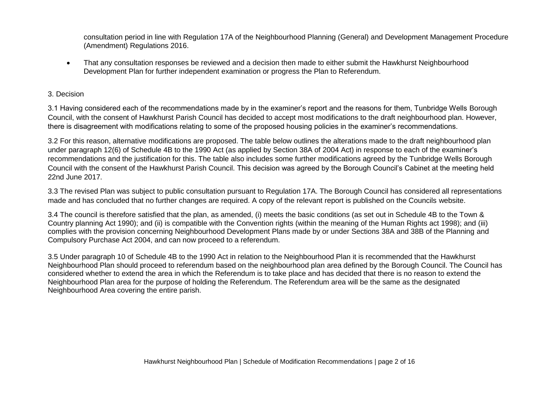consultation period in line with Regulation 17A of the Neighbourhood Planning (General) and Development Management Procedure (Amendment) Regulations 2016.

 That any consultation responses be reviewed and a decision then made to either submit the Hawkhurst Neighbourhood Development Plan for further independent examination or progress the Plan to Referendum.

## 3. Decision

3.1 Having considered each of the recommendations made by in the examiner's report and the reasons for them, Tunbridge Wells Borough Council, with the consent of Hawkhurst Parish Council has decided to accept most modifications to the draft neighbourhood plan. However, there is disagreement with modifications relating to some of the proposed housing policies in the examiner's recommendations.

3.2 For this reason, alternative modifications are proposed. The table below outlines the alterations made to the draft neighbourhood plan under paragraph 12(6) of Schedule 4B to the 1990 Act (as applied by Section 38A of 2004 Act) in response to each of the examiner's recommendations and the justification for this. The table also includes some further modifications agreed by the Tunbridge Wells Borough Council with the consent of the Hawkhurst Parish Council. This decision was agreed by the Borough Council's Cabinet at the meeting held 22nd June 2017.

3.3 The revised Plan was subject to public consultation pursuant to Regulation 17A. The Borough Council has considered all representations made and has concluded that no further changes are required. A copy of the relevant report is published on the Councils website.

3.4 The council is therefore satisfied that the plan, as amended, (i) meets the basic conditions (as set out in Schedule 4B to the Town & Country planning Act 1990); and (ii) is compatible with the Convention rights (within the meaning of the Human Rights act 1998); and (iii) complies with the provision concerning Neighbourhood Development Plans made by or under Sections 38A and 38B of the Planning and Compulsory Purchase Act 2004, and can now proceed to a referendum.

3.5 Under paragraph 10 of Schedule 4B to the 1990 Act in relation to the Neighbourhood Plan it is recommended that the Hawkhurst Neighbourhood Plan should proceed to referendum based on the neighbourhood plan area defined by the Borough Council. The Council has considered whether to extend the area in which the Referendum is to take place and has decided that there is no reason to extend the Neighbourhood Plan area for the purpose of holding the Referendum. The Referendum area will be the same as the designated Neighbourhood Area covering the entire parish.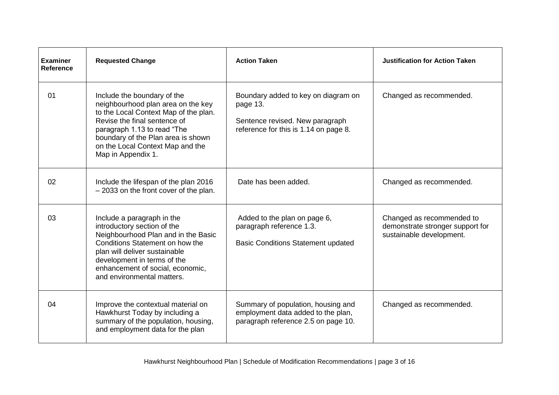| <b>Examiner</b><br>Reference | <b>Requested Change</b>                                                                                                                                                                                                                                                   | <b>Action Taken</b>                                                                                                         | <b>Justification for Action Taken</b>                                                     |
|------------------------------|---------------------------------------------------------------------------------------------------------------------------------------------------------------------------------------------------------------------------------------------------------------------------|-----------------------------------------------------------------------------------------------------------------------------|-------------------------------------------------------------------------------------------|
| 01                           | Include the boundary of the<br>neighbourhood plan area on the key<br>to the Local Context Map of the plan.<br>Revise the final sentence of<br>paragraph 1.13 to read "The<br>boundary of the Plan area is shown<br>on the Local Context Map and the<br>Map in Appendix 1. | Boundary added to key on diagram on<br>page 13.<br>Sentence revised. New paragraph<br>reference for this is 1.14 on page 8. | Changed as recommended.                                                                   |
| 02                           | Include the lifespan of the plan 2016<br>- 2033 on the front cover of the plan.                                                                                                                                                                                           | Date has been added.                                                                                                        | Changed as recommended.                                                                   |
| 03                           | Include a paragraph in the<br>introductory section of the<br>Neighbourhood Plan and in the Basic<br>Conditions Statement on how the<br>plan will deliver sustainable<br>development in terms of the<br>enhancement of social, economic,<br>and environmental matters.     | Added to the plan on page 6,<br>paragraph reference 1.3.<br><b>Basic Conditions Statement updated</b>                       | Changed as recommended to<br>demonstrate stronger support for<br>sustainable development. |
| 04                           | Improve the contextual material on<br>Hawkhurst Today by including a<br>summary of the population, housing,<br>and employment data for the plan                                                                                                                           | Summary of population, housing and<br>employment data added to the plan,<br>paragraph reference 2.5 on page 10.             | Changed as recommended.                                                                   |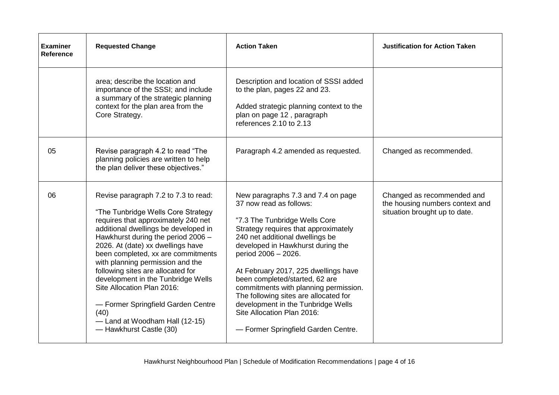| <b>Examiner</b><br><b>Reference</b> | <b>Requested Change</b>                                                                                                                                                                                                                                                                                                                                                                                                                                                                                                           | <b>Action Taken</b>                                                                                                                                                                                                                                                                                                                                                                                                                                                                                          | <b>Justification for Action Taken</b>                                                          |
|-------------------------------------|-----------------------------------------------------------------------------------------------------------------------------------------------------------------------------------------------------------------------------------------------------------------------------------------------------------------------------------------------------------------------------------------------------------------------------------------------------------------------------------------------------------------------------------|--------------------------------------------------------------------------------------------------------------------------------------------------------------------------------------------------------------------------------------------------------------------------------------------------------------------------------------------------------------------------------------------------------------------------------------------------------------------------------------------------------------|------------------------------------------------------------------------------------------------|
|                                     | area; describe the location and<br>importance of the SSSI; and include<br>a summary of the strategic planning<br>context for the plan area from the<br>Core Strategy.                                                                                                                                                                                                                                                                                                                                                             | Description and location of SSSI added<br>to the plan, pages 22 and 23.<br>Added strategic planning context to the<br>plan on page 12, paragraph<br>references 2.10 to 2.13                                                                                                                                                                                                                                                                                                                                  |                                                                                                |
| 05                                  | Revise paragraph 4.2 to read "The<br>planning policies are written to help<br>the plan deliver these objectives."                                                                                                                                                                                                                                                                                                                                                                                                                 | Paragraph 4.2 amended as requested.                                                                                                                                                                                                                                                                                                                                                                                                                                                                          | Changed as recommended.                                                                        |
| 06                                  | Revise paragraph 7.2 to 7.3 to read:<br>"The Tunbridge Wells Core Strategy<br>requires that approximately 240 net<br>additional dwellings be developed in<br>Hawkhurst during the period 2006 -<br>2026. At (date) xx dwellings have<br>been completed, xx are commitments<br>with planning permission and the<br>following sites are allocated for<br>development in the Tunbridge Wells<br>Site Allocation Plan 2016:<br>- Former Springfield Garden Centre<br>(40)<br>-Land at Woodham Hall (12-15)<br>- Hawkhurst Castle (30) | New paragraphs 7.3 and 7.4 on page<br>37 now read as follows:<br>"7.3 The Tunbridge Wells Core<br>Strategy requires that approximately<br>240 net additional dwellings be<br>developed in Hawkhurst during the<br>period 2006 - 2026.<br>At February 2017, 225 dwellings have<br>been completed/started, 62 are<br>commitments with planning permission.<br>The following sites are allocated for<br>development in the Tunbridge Wells<br>Site Allocation Plan 2016:<br>- Former Springfield Garden Centre. | Changed as recommended and<br>the housing numbers context and<br>situation brought up to date. |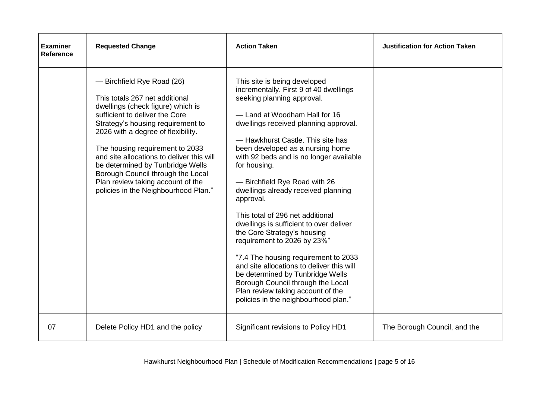| <b>Examiner</b><br><b>Reference</b> | <b>Requested Change</b>                                                                                                                                                                                                                                                                                                                                                                                                                              | <b>Action Taken</b>                                                                                                                                                                                                                                                                                                                                                                                                                                                                                                                                                                                                                                                                                                                                                                            | <b>Justification for Action Taken</b> |
|-------------------------------------|------------------------------------------------------------------------------------------------------------------------------------------------------------------------------------------------------------------------------------------------------------------------------------------------------------------------------------------------------------------------------------------------------------------------------------------------------|------------------------------------------------------------------------------------------------------------------------------------------------------------------------------------------------------------------------------------------------------------------------------------------------------------------------------------------------------------------------------------------------------------------------------------------------------------------------------------------------------------------------------------------------------------------------------------------------------------------------------------------------------------------------------------------------------------------------------------------------------------------------------------------------|---------------------------------------|
|                                     | - Birchfield Rye Road (26)<br>This totals 267 net additional<br>dwellings (check figure) which is<br>sufficient to deliver the Core<br>Strategy's housing requirement to<br>2026 with a degree of flexibility.<br>The housing requirement to 2033<br>and site allocations to deliver this will<br>be determined by Tunbridge Wells<br>Borough Council through the Local<br>Plan review taking account of the<br>policies in the Neighbourhood Plan." | This site is being developed<br>incrementally. First 9 of 40 dwellings<br>seeking planning approval.<br>-Land at Woodham Hall for 16<br>dwellings received planning approval.<br>- Hawkhurst Castle. This site has<br>been developed as a nursing home<br>with 92 beds and is no longer available<br>for housing.<br>- Birchfield Rye Road with 26<br>dwellings already received planning<br>approval.<br>This total of 296 net additional<br>dwellings is sufficient to over deliver<br>the Core Strategy's housing<br>requirement to 2026 by 23%"<br>"7.4 The housing requirement to 2033<br>and site allocations to deliver this will<br>be determined by Tunbridge Wells<br>Borough Council through the Local<br>Plan review taking account of the<br>policies in the neighbourhood plan." |                                       |
| 07                                  | Delete Policy HD1 and the policy                                                                                                                                                                                                                                                                                                                                                                                                                     | Significant revisions to Policy HD1                                                                                                                                                                                                                                                                                                                                                                                                                                                                                                                                                                                                                                                                                                                                                            | The Borough Council, and the          |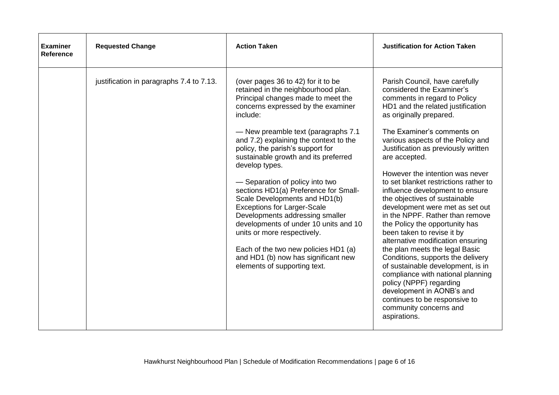| <b>Examiner</b><br>Reference | <b>Requested Change</b>                  | <b>Action Taken</b>                                                                                                                                                                                                                                                                                                                                                                                                                                                                                                                                                                                                                                                                           | <b>Justification for Action Taken</b>                                                                                                                                                                                                                                                                                                                                                                                                                                                                                                                                                                                                                                                    |
|------------------------------|------------------------------------------|-----------------------------------------------------------------------------------------------------------------------------------------------------------------------------------------------------------------------------------------------------------------------------------------------------------------------------------------------------------------------------------------------------------------------------------------------------------------------------------------------------------------------------------------------------------------------------------------------------------------------------------------------------------------------------------------------|------------------------------------------------------------------------------------------------------------------------------------------------------------------------------------------------------------------------------------------------------------------------------------------------------------------------------------------------------------------------------------------------------------------------------------------------------------------------------------------------------------------------------------------------------------------------------------------------------------------------------------------------------------------------------------------|
|                              | justification in paragraphs 7.4 to 7.13. | (over pages 36 to 42) for it to be<br>retained in the neighbourhood plan.<br>Principal changes made to meet the<br>concerns expressed by the examiner<br>include:<br>- New preamble text (paragraphs 7.1<br>and 7.2) explaining the context to the<br>policy, the parish's support for<br>sustainable growth and its preferred<br>develop types.<br>- Separation of policy into two<br>sections HD1(a) Preference for Small-<br>Scale Developments and HD1(b)<br><b>Exceptions for Larger-Scale</b><br>Developments addressing smaller<br>developments of under 10 units and 10<br>units or more respectively.<br>Each of the two new policies HD1 (a)<br>and HD1 (b) now has significant new | Parish Council, have carefully<br>considered the Examiner's<br>comments in regard to Policy<br>HD1 and the related justification<br>as originally prepared.<br>The Examiner's comments on<br>various aspects of the Policy and<br>Justification as previously written<br>are accepted.<br>However the intention was never<br>to set blanket restrictions rather to<br>influence development to ensure<br>the objectives of sustainable<br>development were met as set out<br>in the NPPF. Rather than remove<br>the Policy the opportunity has<br>been taken to revise it by<br>alternative modification ensuring<br>the plan meets the legal Basic<br>Conditions, supports the delivery |
|                              |                                          | elements of supporting text.                                                                                                                                                                                                                                                                                                                                                                                                                                                                                                                                                                                                                                                                  | of sustainable development, is in<br>compliance with national planning<br>policy (NPPF) regarding<br>development in AONB's and<br>continues to be responsive to<br>community concerns and<br>aspirations.                                                                                                                                                                                                                                                                                                                                                                                                                                                                                |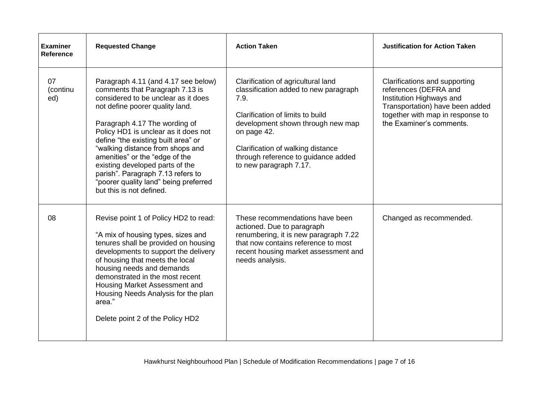| <b>Examiner</b><br><b>Reference</b> | <b>Requested Change</b>                                                                                                                                                                                                                                                                                                                                                                                                                                                             | <b>Action Taken</b>                                                                                                                                                                                                                                                               | <b>Justification for Action Taken</b>                                                                                                                                                 |
|-------------------------------------|-------------------------------------------------------------------------------------------------------------------------------------------------------------------------------------------------------------------------------------------------------------------------------------------------------------------------------------------------------------------------------------------------------------------------------------------------------------------------------------|-----------------------------------------------------------------------------------------------------------------------------------------------------------------------------------------------------------------------------------------------------------------------------------|---------------------------------------------------------------------------------------------------------------------------------------------------------------------------------------|
| 07<br>(continu<br>ed)               | Paragraph 4.11 (and 4.17 see below)<br>comments that Paragraph 7.13 is<br>considered to be unclear as it does<br>not define poorer quality land.<br>Paragraph 4.17 The wording of<br>Policy HD1 is unclear as it does not<br>define "the existing built area" or<br>"walking distance from shops and<br>amenities" or the "edge of the<br>existing developed parts of the<br>parish". Paragraph 7.13 refers to<br>"poorer quality land" being preferred<br>but this is not defined. | Clarification of agricultural land<br>classification added to new paragraph<br>7.9.<br>Clarification of limits to build<br>development shown through new map<br>on page 42.<br>Clarification of walking distance<br>through reference to guidance added<br>to new paragraph 7.17. | Clarifications and supporting<br>references (DEFRA and<br>Institution Highways and<br>Transportation) have been added<br>together with map in response to<br>the Examiner's comments. |
| 08                                  | Revise point 1 of Policy HD2 to read:<br>"A mix of housing types, sizes and<br>tenures shall be provided on housing<br>developments to support the delivery<br>of housing that meets the local<br>housing needs and demands<br>demonstrated in the most recent<br>Housing Market Assessment and<br>Housing Needs Analysis for the plan<br>area."<br>Delete point 2 of the Policy HD2                                                                                                | These recommendations have been<br>actioned. Due to paragraph<br>renumbering, it is new paragraph 7.22<br>that now contains reference to most<br>recent housing market assessment and<br>needs analysis.                                                                          | Changed as recommended.                                                                                                                                                               |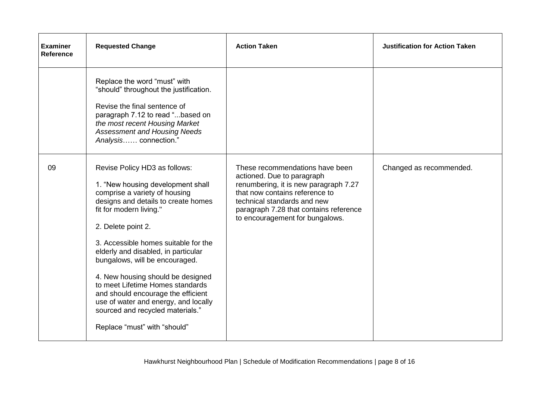| <b>Examiner</b><br><b>Reference</b> | <b>Requested Change</b>                                                                                                                                                                                                                                                                                                                                                                                                                                                                                                                 | <b>Action Taken</b>                                                                                                                                                                                                                                  | <b>Justification for Action Taken</b> |
|-------------------------------------|-----------------------------------------------------------------------------------------------------------------------------------------------------------------------------------------------------------------------------------------------------------------------------------------------------------------------------------------------------------------------------------------------------------------------------------------------------------------------------------------------------------------------------------------|------------------------------------------------------------------------------------------------------------------------------------------------------------------------------------------------------------------------------------------------------|---------------------------------------|
|                                     | Replace the word "must" with<br>"should" throughout the justification.<br>Revise the final sentence of<br>paragraph 7.12 to read "based on<br>the most recent Housing Market<br><b>Assessment and Housing Needs</b><br>Analysis connection."                                                                                                                                                                                                                                                                                            |                                                                                                                                                                                                                                                      |                                       |
| 09                                  | Revise Policy HD3 as follows:<br>1. "New housing development shall<br>comprise a variety of housing<br>designs and details to create homes<br>fit for modern living."<br>2. Delete point 2.<br>3. Accessible homes suitable for the<br>elderly and disabled, in particular<br>bungalows, will be encouraged.<br>4. New housing should be designed<br>to meet Lifetime Homes standards<br>and should encourage the efficient<br>use of water and energy, and locally<br>sourced and recycled materials."<br>Replace "must" with "should" | These recommendations have been<br>actioned. Due to paragraph<br>renumbering, it is new paragraph 7.27<br>that now contains reference to<br>technical standards and new<br>paragraph 7.28 that contains reference<br>to encouragement for bungalows. | Changed as recommended.               |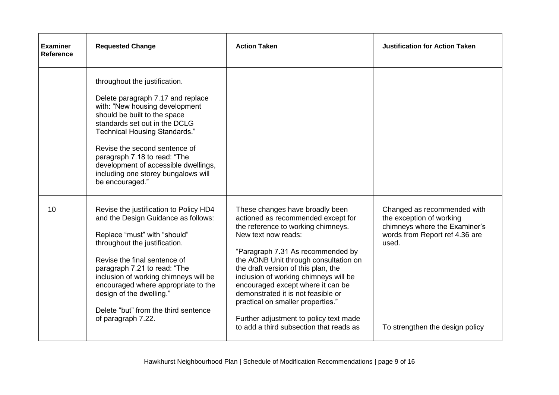| <b>Examiner</b><br>Reference | <b>Requested Change</b>                                                                                                                                                                                                                                                                                                                                                                  | <b>Action Taken</b>                                                                                                                                                                                                                                                                                                                                                                                                                                                                                   | <b>Justification for Action Taken</b>                                                                                                                                  |
|------------------------------|------------------------------------------------------------------------------------------------------------------------------------------------------------------------------------------------------------------------------------------------------------------------------------------------------------------------------------------------------------------------------------------|-------------------------------------------------------------------------------------------------------------------------------------------------------------------------------------------------------------------------------------------------------------------------------------------------------------------------------------------------------------------------------------------------------------------------------------------------------------------------------------------------------|------------------------------------------------------------------------------------------------------------------------------------------------------------------------|
|                              | throughout the justification.<br>Delete paragraph 7.17 and replace<br>with: "New housing development<br>should be built to the space<br>standards set out in the DCLG<br><b>Technical Housing Standards."</b><br>Revise the second sentence of<br>paragraph 7.18 to read: "The<br>development of accessible dwellings,<br>including one storey bungalows will<br>be encouraged."         |                                                                                                                                                                                                                                                                                                                                                                                                                                                                                                       |                                                                                                                                                                        |
| 10                           | Revise the justification to Policy HD4<br>and the Design Guidance as follows:<br>Replace "must" with "should"<br>throughout the justification.<br>Revise the final sentence of<br>paragraph 7.21 to read: "The<br>inclusion of working chimneys will be<br>encouraged where appropriate to the<br>design of the dwelling."<br>Delete "but" from the third sentence<br>of paragraph 7.22. | These changes have broadly been<br>actioned as recommended except for<br>the reference to working chimneys.<br>New text now reads:<br>"Paragraph 7.31 As recommended by<br>the AONB Unit through consultation on<br>the draft version of this plan, the<br>inclusion of working chimneys will be<br>encouraged except where it can be<br>demonstrated it is not feasible or<br>practical on smaller properties."<br>Further adjustment to policy text made<br>to add a third subsection that reads as | Changed as recommended with<br>the exception of working<br>chimneys where the Examiner's<br>words from Report ref 4.36 are<br>used.<br>To strengthen the design policy |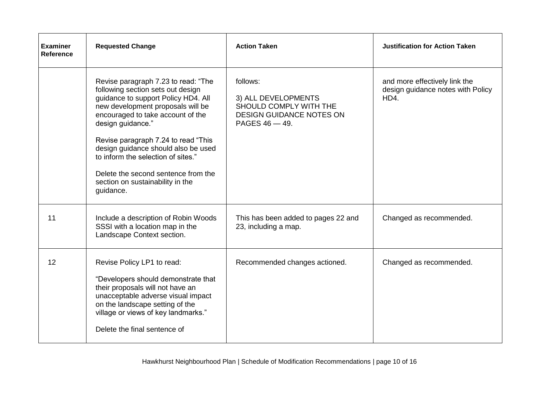| <b>Examiner</b><br>Reference | <b>Requested Change</b>                                                                                                                                                                                                                                                                                                                                                                                                    | <b>Action Taken</b>                                                                                               | <b>Justification for Action Taken</b>                                      |
|------------------------------|----------------------------------------------------------------------------------------------------------------------------------------------------------------------------------------------------------------------------------------------------------------------------------------------------------------------------------------------------------------------------------------------------------------------------|-------------------------------------------------------------------------------------------------------------------|----------------------------------------------------------------------------|
|                              | Revise paragraph 7.23 to read: "The<br>following section sets out design<br>guidance to support Policy HD4. All<br>new development proposals will be<br>encouraged to take account of the<br>design guidance."<br>Revise paragraph 7.24 to read "This<br>design guidance should also be used<br>to inform the selection of sites."<br>Delete the second sentence from the<br>section on sustainability in the<br>guidance. | follows:<br>3) ALL DEVELOPMENTS<br>SHOULD COMPLY WITH THE<br><b>DESIGN GUIDANCE NOTES ON</b><br>PAGES $46 - 49$ . | and more effectively link the<br>design guidance notes with Policy<br>HD4. |
| 11                           | Include a description of Robin Woods<br>SSSI with a location map in the<br>Landscape Context section.                                                                                                                                                                                                                                                                                                                      | This has been added to pages 22 and<br>23, including a map.                                                       | Changed as recommended.                                                    |
| 12                           | Revise Policy LP1 to read:<br>"Developers should demonstrate that<br>their proposals will not have an<br>unacceptable adverse visual impact<br>on the landscape setting of the<br>village or views of key landmarks."<br>Delete the final sentence of                                                                                                                                                                      | Recommended changes actioned.                                                                                     | Changed as recommended.                                                    |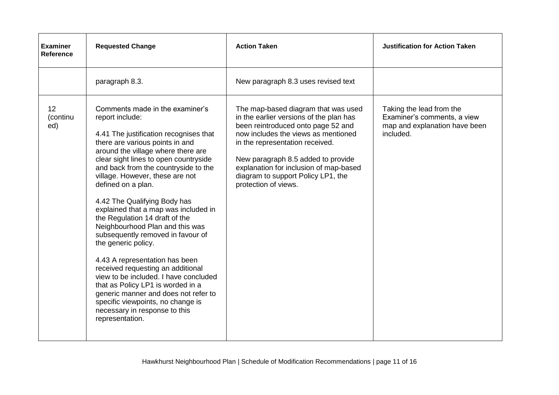| <b>Examiner</b><br><b>Reference</b> | <b>Requested Change</b>                                                                                                                                                                                                                                                                                                                                                                                                                                                                                                                                                                                                                                                                                                                                                                                        | <b>Action Taken</b>                                                                                                                                                                                                                                                                                                                          | <b>Justification for Action Taken</b>                                                                 |
|-------------------------------------|----------------------------------------------------------------------------------------------------------------------------------------------------------------------------------------------------------------------------------------------------------------------------------------------------------------------------------------------------------------------------------------------------------------------------------------------------------------------------------------------------------------------------------------------------------------------------------------------------------------------------------------------------------------------------------------------------------------------------------------------------------------------------------------------------------------|----------------------------------------------------------------------------------------------------------------------------------------------------------------------------------------------------------------------------------------------------------------------------------------------------------------------------------------------|-------------------------------------------------------------------------------------------------------|
|                                     | paragraph 8.3.                                                                                                                                                                                                                                                                                                                                                                                                                                                                                                                                                                                                                                                                                                                                                                                                 | New paragraph 8.3 uses revised text                                                                                                                                                                                                                                                                                                          |                                                                                                       |
| 12 <sup>2</sup><br>(continu<br>ed)  | Comments made in the examiner's<br>report include:<br>4.41 The justification recognises that<br>there are various points in and<br>around the village where there are<br>clear sight lines to open countryside<br>and back from the countryside to the<br>village. However, these are not<br>defined on a plan.<br>4.42 The Qualifying Body has<br>explained that a map was included in<br>the Regulation 14 draft of the<br>Neighbourhood Plan and this was<br>subsequently removed in favour of<br>the generic policy.<br>4.43 A representation has been<br>received requesting an additional<br>view to be included. I have concluded<br>that as Policy LP1 is worded in a<br>generic manner and does not refer to<br>specific viewpoints, no change is<br>necessary in response to this<br>representation. | The map-based diagram that was used<br>in the earlier versions of the plan has<br>been reintroduced onto page 52 and<br>now includes the views as mentioned<br>in the representation received.<br>New paragraph 8.5 added to provide<br>explanation for inclusion of map-based<br>diagram to support Policy LP1, the<br>protection of views. | Taking the lead from the<br>Examiner's comments, a view<br>map and explanation have been<br>included. |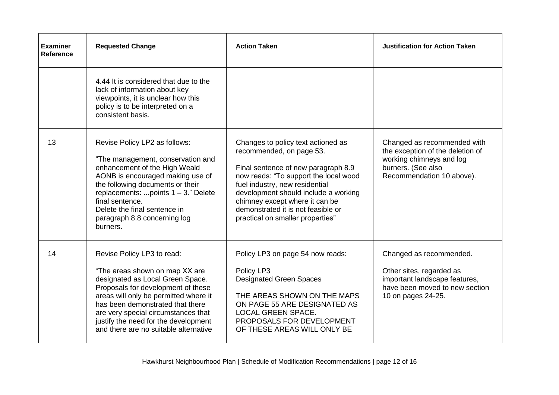| <b>Examiner</b><br><b>Reference</b> | <b>Requested Change</b>                                                                                                                                                                                                                                                                                                                     | <b>Action Taken</b>                                                                                                                                                                                                                                                                                                                  | <b>Justification for Action Taken</b>                                                                                                          |
|-------------------------------------|---------------------------------------------------------------------------------------------------------------------------------------------------------------------------------------------------------------------------------------------------------------------------------------------------------------------------------------------|--------------------------------------------------------------------------------------------------------------------------------------------------------------------------------------------------------------------------------------------------------------------------------------------------------------------------------------|------------------------------------------------------------------------------------------------------------------------------------------------|
|                                     | 4.44 It is considered that due to the<br>lack of information about key<br>viewpoints, it is unclear how this<br>policy is to be interpreted on a<br>consistent basis.                                                                                                                                                                       |                                                                                                                                                                                                                                                                                                                                      |                                                                                                                                                |
| 13                                  | Revise Policy LP2 as follows:<br>"The management, conservation and<br>enhancement of the High Weald<br>AONB is encouraged making use of<br>the following documents or their<br>replacements: points $1 - 3$ ." Delete<br>final sentence.<br>Delete the final sentence in<br>paragraph 8.8 concerning log<br>burners.                        | Changes to policy text actioned as<br>recommended, on page 53.<br>Final sentence of new paragraph 8.9<br>now reads: "To support the local wood<br>fuel industry, new residential<br>development should include a working<br>chimney except where it can be<br>demonstrated it is not feasible or<br>practical on smaller properties" | Changed as recommended with<br>the exception of the deletion of<br>working chimneys and log<br>burners. (See also<br>Recommendation 10 above). |
| 14                                  | Revise Policy LP3 to read:<br>"The areas shown on map XX are<br>designated as Local Green Space.<br>Proposals for development of these<br>areas will only be permitted where it<br>has been demonstrated that there<br>are very special circumstances that<br>justify the need for the development<br>and there are no suitable alternative | Policy LP3 on page 54 now reads:<br>Policy LP3<br><b>Designated Green Spaces</b><br>THE AREAS SHOWN ON THE MAPS<br>ON PAGE 55 ARE DESIGNATED AS<br><b>LOCAL GREEN SPACE.</b><br>PROPOSALS FOR DEVELOPMENT<br>OF THESE AREAS WILL ONLY BE                                                                                             | Changed as recommended.<br>Other sites, regarded as<br>important landscape features,<br>have been moved to new section<br>10 on pages 24-25.   |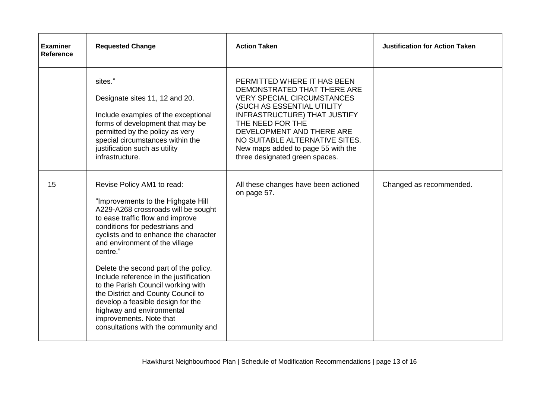| <b>Examiner</b><br><b>Reference</b> | <b>Requested Change</b>                                                                                                                                                                                                                                                                                                                                                                                                                                                                                                                                                  | <b>Action Taken</b>                                                                                                                                                                                                                                                                                                             | <b>Justification for Action Taken</b> |
|-------------------------------------|--------------------------------------------------------------------------------------------------------------------------------------------------------------------------------------------------------------------------------------------------------------------------------------------------------------------------------------------------------------------------------------------------------------------------------------------------------------------------------------------------------------------------------------------------------------------------|---------------------------------------------------------------------------------------------------------------------------------------------------------------------------------------------------------------------------------------------------------------------------------------------------------------------------------|---------------------------------------|
|                                     | sites."<br>Designate sites 11, 12 and 20.<br>Include examples of the exceptional<br>forms of development that may be<br>permitted by the policy as very<br>special circumstances within the<br>justification such as utility<br>infrastructure.                                                                                                                                                                                                                                                                                                                          | PERMITTED WHERE IT HAS BEEN<br>DEMONSTRATED THAT THERE ARE<br><b>VERY SPECIAL CIRCUMSTANCES</b><br>(SUCH AS ESSENTIAL UTILITY<br><b>INFRASTRUCTURE) THAT JUSTIFY</b><br>THE NEED FOR THE<br>DEVELOPMENT AND THERE ARE<br>NO SUITABLE ALTERNATIVE SITES.<br>New maps added to page 55 with the<br>three designated green spaces. |                                       |
| 15                                  | Revise Policy AM1 to read:<br>"Improvements to the Highgate Hill<br>A229-A268 crossroads will be sought<br>to ease traffic flow and improve<br>conditions for pedestrians and<br>cyclists and to enhance the character<br>and environment of the village<br>centre."<br>Delete the second part of the policy.<br>Include reference in the justification<br>to the Parish Council working with<br>the District and County Council to<br>develop a feasible design for the<br>highway and environmental<br>improvements. Note that<br>consultations with the community and | All these changes have been actioned<br>on page 57.                                                                                                                                                                                                                                                                             | Changed as recommended.               |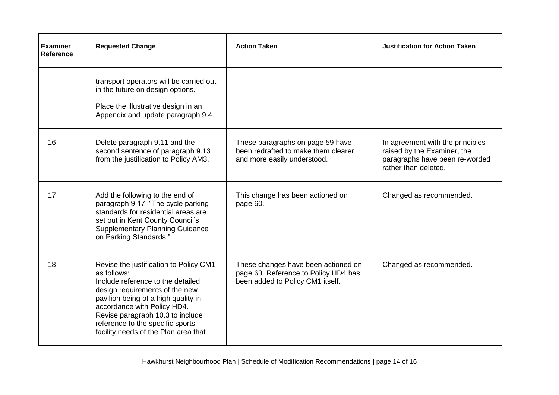| <b>Examiner</b><br><b>Reference</b> | <b>Requested Change</b>                                                                                                                                                                                                                                                                                            | <b>Action Taken</b>                                                                                             | <b>Justification for Action Taken</b>                                                                                     |
|-------------------------------------|--------------------------------------------------------------------------------------------------------------------------------------------------------------------------------------------------------------------------------------------------------------------------------------------------------------------|-----------------------------------------------------------------------------------------------------------------|---------------------------------------------------------------------------------------------------------------------------|
|                                     | transport operators will be carried out<br>in the future on design options.<br>Place the illustrative design in an<br>Appendix and update paragraph 9.4.                                                                                                                                                           |                                                                                                                 |                                                                                                                           |
| 16                                  | Delete paragraph 9.11 and the<br>second sentence of paragraph 9.13<br>from the justification to Policy AM3.                                                                                                                                                                                                        | These paragraphs on page 59 have<br>been redrafted to make them clearer<br>and more easily understood.          | In agreement with the principles<br>raised by the Examiner, the<br>paragraphs have been re-worded<br>rather than deleted. |
| 17                                  | Add the following to the end of<br>paragraph 9.17: "The cycle parking<br>standards for residential areas are<br>set out in Kent County Council's<br><b>Supplementary Planning Guidance</b><br>on Parking Standards."                                                                                               | This change has been actioned on<br>page 60.                                                                    | Changed as recommended.                                                                                                   |
| 18                                  | Revise the justification to Policy CM1<br>as follows:<br>Include reference to the detailed<br>design requirements of the new<br>pavilion being of a high quality in<br>accordance with Policy HD4.<br>Revise paragraph 10.3 to include<br>reference to the specific sports<br>facility needs of the Plan area that | These changes have been actioned on<br>page 63. Reference to Policy HD4 has<br>been added to Policy CM1 itself. | Changed as recommended.                                                                                                   |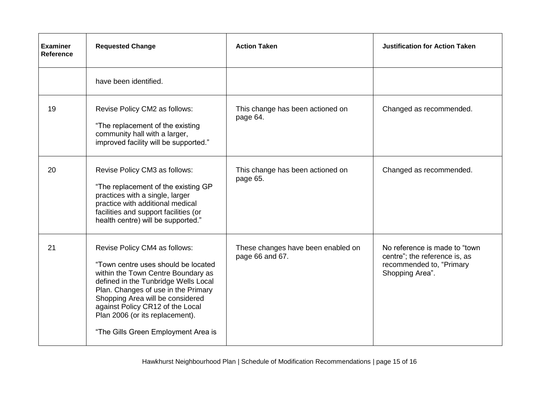| <b>Examiner</b><br><b>Reference</b> | <b>Requested Change</b>                                                                                                                                                                                                                                                                                                                     | <b>Action Taken</b>                                   | <b>Justification for Action Taken</b>                                                                          |
|-------------------------------------|---------------------------------------------------------------------------------------------------------------------------------------------------------------------------------------------------------------------------------------------------------------------------------------------------------------------------------------------|-------------------------------------------------------|----------------------------------------------------------------------------------------------------------------|
|                                     | have been identified.                                                                                                                                                                                                                                                                                                                       |                                                       |                                                                                                                |
| 19                                  | Revise Policy CM2 as follows:<br>"The replacement of the existing<br>community hall with a larger,<br>improved facility will be supported."                                                                                                                                                                                                 | This change has been actioned on<br>page 64.          | Changed as recommended.                                                                                        |
| 20                                  | Revise Policy CM3 as follows:<br>"The replacement of the existing GP<br>practices with a single, larger<br>practice with additional medical<br>facilities and support facilities (or<br>health centre) will be supported."                                                                                                                  | This change has been actioned on<br>page 65.          | Changed as recommended.                                                                                        |
| 21                                  | Revise Policy CM4 as follows:<br>"Town centre uses should be located<br>within the Town Centre Boundary as<br>defined in the Tunbridge Wells Local<br>Plan. Changes of use in the Primary<br>Shopping Area will be considered<br>against Policy CR12 of the Local<br>Plan 2006 (or its replacement).<br>"The Gills Green Employment Area is | These changes have been enabled on<br>page 66 and 67. | No reference is made to "town"<br>centre"; the reference is, as<br>recommended to, "Primary<br>Shopping Area". |